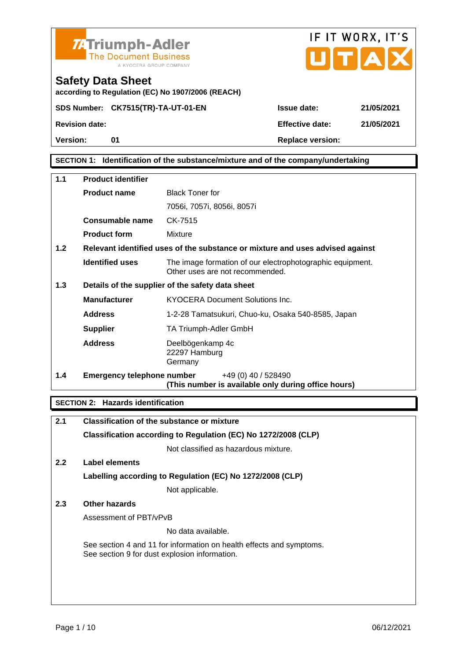

according to Regulation (EC) No 1907/2006 (REACH)



#### SECTION 1: Identification of the substance/mixture and of the company/undertaking

| 1.1 | Product identifier         |                                                                                              |  |
|-----|----------------------------|----------------------------------------------------------------------------------------------|--|
|     | Product name               | <b>Black Toner for</b>                                                                       |  |
|     |                            | 7056i, 7057i, 8056i, 8057i                                                                   |  |
|     | Consumable name            | CK-7515                                                                                      |  |
|     | Product form               | Mixture                                                                                      |  |
| 1.2 |                            | Relevant identified uses of the substance or mixture and uses advised against                |  |
|     | Identified uses            | The image formation of our electrophotographic equipment.<br>Other uses are not recommended. |  |
| 1.3 |                            | Details of the supplier of the safety data sheet                                             |  |
|     | Manufacturer               | KYOCERA Document Solutions Inc.                                                              |  |
|     | Address                    | 1-2-28 Tamatsukuri, Chuo-ku, Osaka 540-8585, Japan                                           |  |
|     | Supplier                   | TA Triumph-Adler GmbH                                                                        |  |
|     | Address                    | Deelbögenkamp 4c<br>22297 Hamburg<br>Germany                                                 |  |
| 1.4 | Emergency telephone number | +49 (0) 40 / 528490<br>(This number is available only during office hours)                   |  |

SECTION 2: Hazards identification

| 2.1 | Classification of the substance or mixture                                                                            |
|-----|-----------------------------------------------------------------------------------------------------------------------|
|     | Classification according to Regulation (EC) No 1272/2008 (CLP)                                                        |
|     | Not classified as hazardous mixture.                                                                                  |
| 2.2 | Label elements                                                                                                        |
|     | Labelling according to Regulation (EC) No 1272/2008 (CLP)                                                             |
|     | Not applicable.                                                                                                       |
| 2.3 | Other hazards                                                                                                         |
|     | Assessment of PBT/vPvB                                                                                                |
|     | No data available.                                                                                                    |
|     | See section 4 and 11 for information on health effects and symptoms.<br>See section 9 for dust explosion information. |
|     |                                                                                                                       |
|     |                                                                                                                       |
|     |                                                                                                                       |
|     |                                                                                                                       |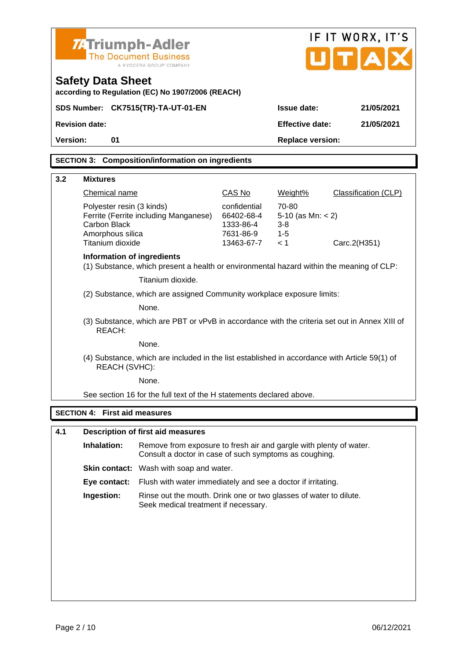| <b>74 Triumph-Adler</b><br><b>The Document Business</b><br>A KYOCERA GROUP COMPANY |                                                                                                                                             |                                                                                                                        |                                                                    | IF IT WORX, IT'S<br>U[T A]                                |                             |
|------------------------------------------------------------------------------------|---------------------------------------------------------------------------------------------------------------------------------------------|------------------------------------------------------------------------------------------------------------------------|--------------------------------------------------------------------|-----------------------------------------------------------|-----------------------------|
| <b>Safety Data Sheet</b>                                                           |                                                                                                                                             | according to Regulation (EC) No 1907/2006 (REACH)                                                                      |                                                                    |                                                           |                             |
|                                                                                    |                                                                                                                                             | SDS Number: CK7515(TR)-TA-UT-01-EN                                                                                     |                                                                    | Issue date:                                               | 21/05/2021                  |
| Revision date:                                                                     |                                                                                                                                             |                                                                                                                        |                                                                    | Effective date:                                           | 21/05/2021                  |
| Version:                                                                           | 01                                                                                                                                          |                                                                                                                        |                                                                    | Replace version:                                          |                             |
|                                                                                    |                                                                                                                                             | SECTION 3: Composition/information on ingredients                                                                      |                                                                    |                                                           |                             |
|                                                                                    |                                                                                                                                             |                                                                                                                        |                                                                    |                                                           |                             |
| 3.2<br><b>Mixtures</b>                                                             |                                                                                                                                             |                                                                                                                        |                                                                    |                                                           |                             |
|                                                                                    | Chemical name                                                                                                                               |                                                                                                                        | CAS No                                                             | Weight%                                                   | <b>Classification (CLP)</b> |
|                                                                                    | Carbon Black<br>Amorphous silica<br>Titanium dioxide                                                                                        | Polyester resin (3 kinds)<br>Ferrite (Ferrite including Manganese)                                                     | confidential<br>66402-68-4<br>1333-86-4<br>7631-86-9<br>13463-67-7 | 70-80<br>5-10 (as Mn: $<$ 2)<br>$3 - 8$<br>$1 - 5$<br>< 1 | Carc.2(H351)                |
|                                                                                    |                                                                                                                                             | Information of ingredients<br>(1) Substance, which present a health or environmental hazard within the meaning of CLP: |                                                                    |                                                           |                             |
|                                                                                    |                                                                                                                                             | Titanium dioxide.                                                                                                      |                                                                    |                                                           |                             |
|                                                                                    | (2) Substance, which are assigned Community workplace exposure limits:                                                                      |                                                                                                                        |                                                                    |                                                           |                             |
|                                                                                    | None.                                                                                                                                       |                                                                                                                        |                                                                    |                                                           |                             |
|                                                                                    | (3) Substance, which are PBT or vPvB in accordance with the criteria set out in Annex XIII of<br>REACH:                                     |                                                                                                                        |                                                                    |                                                           |                             |
|                                                                                    |                                                                                                                                             | None.                                                                                                                  |                                                                    |                                                           |                             |
|                                                                                    | REACH (SVHC):                                                                                                                               | (4) Substance, which are included in the list established in accordance with Article 59(1) of                          |                                                                    |                                                           |                             |
|                                                                                    |                                                                                                                                             | None.                                                                                                                  |                                                                    |                                                           |                             |
|                                                                                    |                                                                                                                                             | See section 16 for the full text of the H statements declared above.                                                   |                                                                    |                                                           |                             |
| SECTION 4: First aid measures                                                      |                                                                                                                                             |                                                                                                                        |                                                                    |                                                           |                             |
|                                                                                    |                                                                                                                                             |                                                                                                                        |                                                                    |                                                           |                             |
| 4.1                                                                                |                                                                                                                                             | Description of first aid measures                                                                                      |                                                                    |                                                           |                             |
|                                                                                    | Inhalation:<br>Remove from exposure to fresh air and gargle with plenty of water.<br>Consult a doctor in case of such symptoms as coughing. |                                                                                                                        |                                                                    |                                                           |                             |
|                                                                                    |                                                                                                                                             | Skin contact: Wash with soap and water.                                                                                |                                                                    |                                                           |                             |
|                                                                                    | Eye contact:                                                                                                                                | Flush with water immediately and see a doctor if irritating.                                                           |                                                                    |                                                           |                             |
|                                                                                    | Ingestion:<br>Rinse out the mouth. Drink one or two glasses of water to dilute.<br>Seek medical treatment if necessary.                     |                                                                                                                        |                                                                    |                                                           |                             |
|                                                                                    |                                                                                                                                             |                                                                                                                        |                                                                    |                                                           |                             |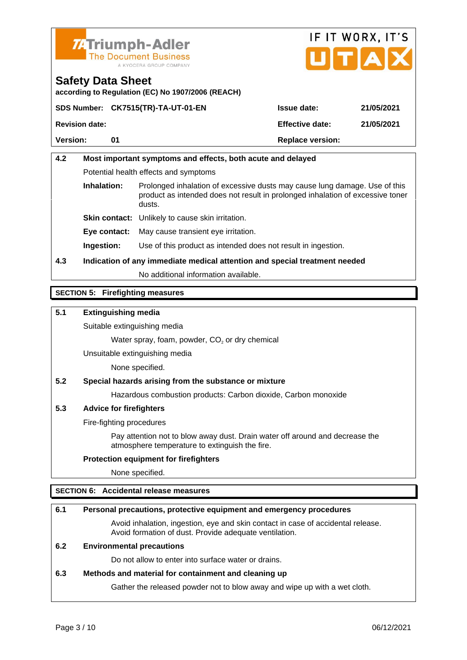



according to Regulation (EC) No 1907/2006 (REACH)

|                | SDS Number: CK7515(TR)-TA-UT-01-EN | Issue date:      | 21/05/2021 |
|----------------|------------------------------------|------------------|------------|
| Revision date: |                                    | Effective date:  | 21/05/2021 |
| Version:       |                                    | Replace version: |            |
|                |                                    |                  |            |

# 4.2 Most important symptoms and effects, both acute and delayed Potential health effects and symptoms Inhalation: Prolonged inhalation of excessive dusts may cause lung damage. Use of this product as intended does not result in prolonged inhalation of excessive toner dusts. Skin contact: Unlikely to cause skin irritation. Eye contact: May cause transient eye irritation. Ingestion: Use of this product as intended does not result in ingestion. 4.3 Indication of any immediate medical attention and special treatment needed No additional information available.

### SECTION 5: Firefighting measures

5.1 Extinguishing media

Suitable extinguishing media

Water spray, foam, powder,  $CO<sub>2</sub>$  or dry chemical

Unsuitable extinguishing media

None specified.

5.2 Special hazards arising from the substance or mixture

Hazardous combustion products: Carbon dioxide, Carbon monoxide

5.3 Advice for firefighters

Fire-fighting procedures

Pay attention not to blow away dust. Drain water off around and decrease the atmosphere temperature to extinguish the fire.

Protection equipment for firefighters

None specified.

### SECTION 6: Accidental release measures

| 6.1 | Personal precautions, protective equipment and emergency procedures                                                                        |
|-----|--------------------------------------------------------------------------------------------------------------------------------------------|
|     | Avoid inhalation, ingestion, eye and skin contact in case of accidental release.<br>Avoid formation of dust. Provide adequate ventilation. |
| 6.2 | Environmental precautions                                                                                                                  |
|     | Do not allow to enter into surface water or drains.                                                                                        |
| 6.3 | Methods and material for containment and cleaning up                                                                                       |
|     | Gather the released powder not to blow away and wipe up with a wet cloth.                                                                  |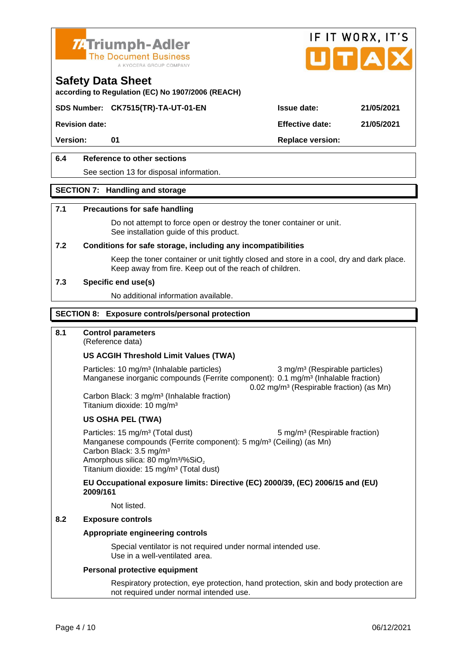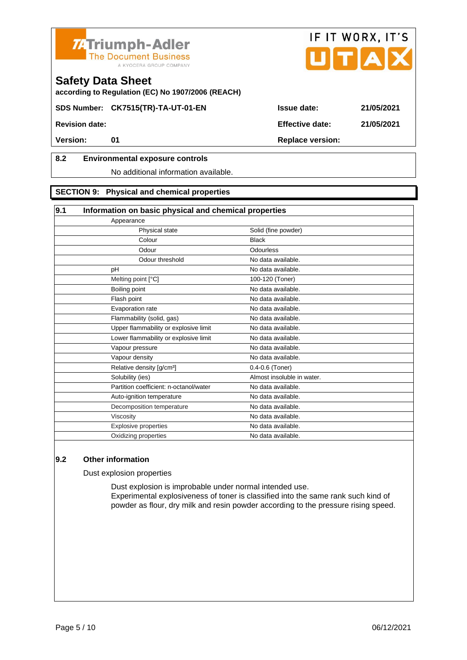



according to Regulation (EC) No 1907/2006 (REACH)

SDS Number: CK7515(TR)-TA-UT-01-EN Issue date: 21/05/2021

# 8.2 Environmental exposure controls

#### No additional information available.

#### SECTION 9: Physical and chemical properties

| 9.1<br>Information on basic physical and chemical properties |                            |
|--------------------------------------------------------------|----------------------------|
| Appearance                                                   |                            |
| Physical state                                               | Solid (fine powder)        |
| Colour                                                       | <b>Black</b>               |
| Odour                                                        | Odourless                  |
| Odour threshold                                              | No data available.         |
| pH                                                           | No data available.         |
| Melting point [°C]                                           | 100-120 (Toner)            |
| Boiling point                                                | No data available.         |
| Flash point                                                  | No data available.         |
| Evaporation rate                                             | No data available.         |
| Flammability (solid, gas)                                    | No data available.         |
| Upper flammability or explosive limit                        | No data available.         |
| Lower flammability or explosive limit                        | No data available.         |
| Vapour pressure                                              | No data available.         |
| Vapour density                                               | No data available.         |
| Relative density [g/cm <sup>3</sup> ]                        | 0.4-0.6 (Toner)            |
| Solubility (ies)                                             | Almost insoluble in water. |
| Partition coefficient: n-octanol/water                       | No data available.         |
| Auto-ignition temperature                                    | No data available.         |
| Decomposition temperature                                    | No data available.         |
| Viscosity                                                    | No data available.         |
| <b>Explosive properties</b>                                  | No data available.         |
| Oxidizing properties                                         | No data available.         |

#### 9.2 Other information

Dust explosion properties

Dust explosion is improbable under normal intended use. Experimental explosiveness of toner is classified into the same rank such kind of powder as flour, dry milk and resin powder according to the pressure rising speed.

Revision date: Effective date: 21/05/2021

Version: 01 Replace version: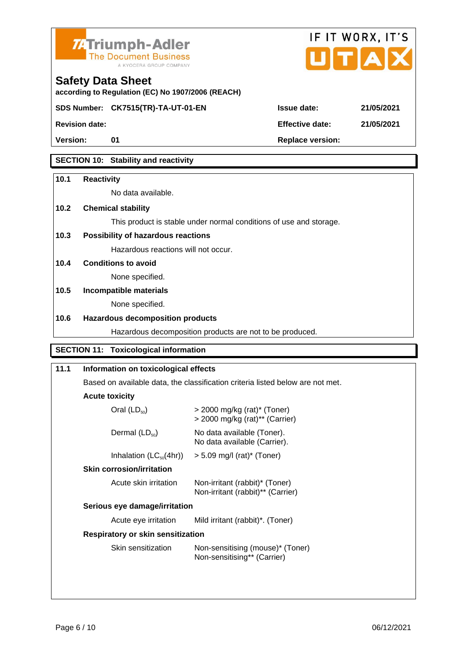



SDS Number: CK7515(TR)-TA-UT-01-EN Issue date: 21/05/2021

according to Regulation (EC) No 1907/2006 (REACH)

Safety Data Sheet

Version: 01 Replace version:

SECTION 10: Stability and reactivity

| 10.1                                                                                         | Reactivity                                                                     |                                                                    |  |  |  |
|----------------------------------------------------------------------------------------------|--------------------------------------------------------------------------------|--------------------------------------------------------------------|--|--|--|
|                                                                                              | No data available.                                                             |                                                                    |  |  |  |
| 10.2                                                                                         | Chemical stability                                                             |                                                                    |  |  |  |
|                                                                                              |                                                                                | This product is stable under normal conditions of use and storage. |  |  |  |
| 10.3                                                                                         | Possibility of hazardous reactions                                             |                                                                    |  |  |  |
|                                                                                              | Hazardous reactions will not occur.                                            |                                                                    |  |  |  |
| 10.4                                                                                         | Conditions to avoid                                                            |                                                                    |  |  |  |
|                                                                                              | None specified.                                                                |                                                                    |  |  |  |
| 10.5                                                                                         | Incompatible materials                                                         |                                                                    |  |  |  |
|                                                                                              | None specified.                                                                |                                                                    |  |  |  |
| 10.6                                                                                         | Hazardous decomposition products                                               |                                                                    |  |  |  |
|                                                                                              |                                                                                | Hazardous decomposition products are not to be produced.           |  |  |  |
|                                                                                              | <b>SECTION 11:</b><br>Toxicological information                                |                                                                    |  |  |  |
| 11.1                                                                                         | Information on toxicological effects                                           |                                                                    |  |  |  |
|                                                                                              | Based on available data, the classification criteria listed below are not met. |                                                                    |  |  |  |
|                                                                                              | Acute toxicity                                                                 |                                                                    |  |  |  |
|                                                                                              | Oral $(LD_{50})$                                                               | $>$ 2000 mg/kg (rat)* (Toner)<br>> 2000 mg/kg (rat)** (Carrier)    |  |  |  |
|                                                                                              | Dermal $(LD_{50})$                                                             | No data available (Toner).<br>No data available (Carrier).         |  |  |  |
|                                                                                              | Inhalation $(LC_{50}(4hr))$                                                    | $> 5.09$ mg/l (rat)* (Toner)                                       |  |  |  |
|                                                                                              | Skin corrosion/irritation                                                      |                                                                    |  |  |  |
| Acute skin irritation<br>Non-irritant (rabbit)* (Toner)<br>Non-irritant (rabbit)** (Carrier) |                                                                                |                                                                    |  |  |  |
|                                                                                              | Serious eye damage/irritation                                                  |                                                                    |  |  |  |
| Acute eye irritation<br>Mild irritant (rabbit)*. (Toner)                                     |                                                                                |                                                                    |  |  |  |
|                                                                                              | Respiratory or skin sensitization                                              |                                                                    |  |  |  |
|                                                                                              | Skin sensitization                                                             | Non-sensitising (mouse)* (Toner)<br>Non-sensitising** (Carrier)    |  |  |  |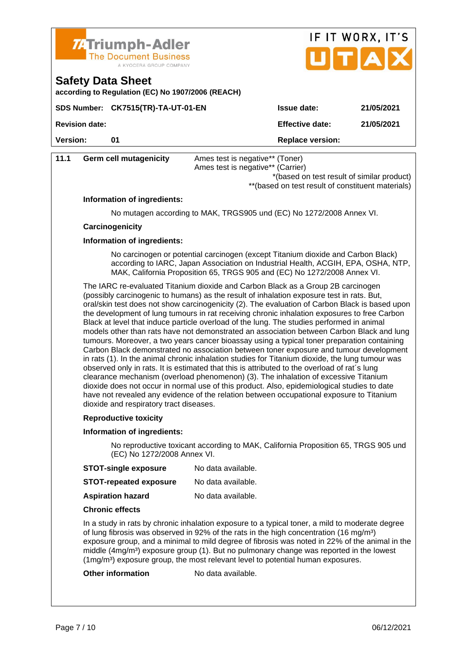| <b>ZATriumph-Adler</b>       |
|------------------------------|
| <b>The Document Business</b> |
| A KYOCERA GROUP COMPANY      |



according to Regulation (EC) No 1907/2006 (REACH)

|                | SDS Number: CK7515(TR)-TA-UT-01-EN | Issue date:      | 21/05/2021 |
|----------------|------------------------------------|------------------|------------|
| Revision date: |                                    | Effective date:  | 21/05/2021 |
| Version:       |                                    | Replace version: |            |

|                                                                                                                                                                                                                                                                                                                                                                                                                                                                                                                                                                                                                                                                                                                                                                                                                                                                                                                                                                                                                                                                                                                                                                                                                                                                                                    |                             | <b>INPIGUO VUIDIUII.</b>                                                                                                                                                                                                                          |
|----------------------------------------------------------------------------------------------------------------------------------------------------------------------------------------------------------------------------------------------------------------------------------------------------------------------------------------------------------------------------------------------------------------------------------------------------------------------------------------------------------------------------------------------------------------------------------------------------------------------------------------------------------------------------------------------------------------------------------------------------------------------------------------------------------------------------------------------------------------------------------------------------------------------------------------------------------------------------------------------------------------------------------------------------------------------------------------------------------------------------------------------------------------------------------------------------------------------------------------------------------------------------------------------------|-----------------------------|---------------------------------------------------------------------------------------------------------------------------------------------------------------------------------------------------------------------------------------------------|
| 11.1                                                                                                                                                                                                                                                                                                                                                                                                                                                                                                                                                                                                                                                                                                                                                                                                                                                                                                                                                                                                                                                                                                                                                                                                                                                                                               | Germ cell mutagenicity      | Ames test is negative** (Toner)<br>Ames test is negative** (Carrier)<br>*(based on test result of similar product)<br>** (based on test result of constituent materials)                                                                          |
|                                                                                                                                                                                                                                                                                                                                                                                                                                                                                                                                                                                                                                                                                                                                                                                                                                                                                                                                                                                                                                                                                                                                                                                                                                                                                                    | Information of ingredients: |                                                                                                                                                                                                                                                   |
|                                                                                                                                                                                                                                                                                                                                                                                                                                                                                                                                                                                                                                                                                                                                                                                                                                                                                                                                                                                                                                                                                                                                                                                                                                                                                                    |                             | No mutagen according to MAK, TRGS905 und (EC) No 1272/2008 Annex VI.                                                                                                                                                                              |
|                                                                                                                                                                                                                                                                                                                                                                                                                                                                                                                                                                                                                                                                                                                                                                                                                                                                                                                                                                                                                                                                                                                                                                                                                                                                                                    | Carcinogenicity             |                                                                                                                                                                                                                                                   |
|                                                                                                                                                                                                                                                                                                                                                                                                                                                                                                                                                                                                                                                                                                                                                                                                                                                                                                                                                                                                                                                                                                                                                                                                                                                                                                    | Information of ingredients: |                                                                                                                                                                                                                                                   |
|                                                                                                                                                                                                                                                                                                                                                                                                                                                                                                                                                                                                                                                                                                                                                                                                                                                                                                                                                                                                                                                                                                                                                                                                                                                                                                    |                             | No carcinogen or potential carcinogen (except Titanium dioxide and Carbon Black)<br>according to IARC, Japan Association on Industrial Health, ACGIH, EPA, OSHA, NTP,<br>MAK, California Proposition 65, TRGS 905 and (EC) No 1272/2008 Annex VI. |
| The IARC re-evaluated Titanium dioxide and Carbon Black as a Group 2B carcinogen<br>(possibly carcinogenic to humans) as the result of inhalation exposure test in rats. But,<br>oral/skin test does not show carcinogenicity (2). The evaluation of Carbon Black is based upon<br>the development of lung tumours in rat receiving chronic inhalation exposures to free Carbon<br>Black at level that induce particle overload of the lung. The studies performed in animal<br>models other than rats have not demonstrated an association between Carbon Black and lung<br>tumours. Moreover, a two years cancer bioassay using a typical toner preparation containing<br>Carbon Black demonstrated no association between toner exposure and tumour development<br>in rats (1). In the animal chronic inhalation studies for Titanium dioxide, the lung tumour was<br>observed only in rats. It is estimated that this is attributed to the overload of rat's lung<br>clearance mechanism (overload phenomenon) (3). The inhalation of excessive Titanium<br>dioxide does not occur in normal use of this product. Also, epidemiological studies to date<br>have not revealed any evidence of the relation between occupational exposure to Titanium<br>dioxide and respiratory tract diseases. |                             |                                                                                                                                                                                                                                                   |
|                                                                                                                                                                                                                                                                                                                                                                                                                                                                                                                                                                                                                                                                                                                                                                                                                                                                                                                                                                                                                                                                                                                                                                                                                                                                                                    | Reproductive toxicity       |                                                                                                                                                                                                                                                   |
|                                                                                                                                                                                                                                                                                                                                                                                                                                                                                                                                                                                                                                                                                                                                                                                                                                                                                                                                                                                                                                                                                                                                                                                                                                                                                                    | Information of ingredients: |                                                                                                                                                                                                                                                   |
| (EC) No 1272/2008 Annex VI.                                                                                                                                                                                                                                                                                                                                                                                                                                                                                                                                                                                                                                                                                                                                                                                                                                                                                                                                                                                                                                                                                                                                                                                                                                                                        |                             | No reproductive toxicant according to MAK, California Proposition 65, TRGS 905 und                                                                                                                                                                |
|                                                                                                                                                                                                                                                                                                                                                                                                                                                                                                                                                                                                                                                                                                                                                                                                                                                                                                                                                                                                                                                                                                                                                                                                                                                                                                    | STOT-single exposure        | No data available.                                                                                                                                                                                                                                |
|                                                                                                                                                                                                                                                                                                                                                                                                                                                                                                                                                                                                                                                                                                                                                                                                                                                                                                                                                                                                                                                                                                                                                                                                                                                                                                    | STOT-repeated exposure      | No data available.                                                                                                                                                                                                                                |
|                                                                                                                                                                                                                                                                                                                                                                                                                                                                                                                                                                                                                                                                                                                                                                                                                                                                                                                                                                                                                                                                                                                                                                                                                                                                                                    | Aspiration hazard           | No data available.                                                                                                                                                                                                                                |
|                                                                                                                                                                                                                                                                                                                                                                                                                                                                                                                                                                                                                                                                                                                                                                                                                                                                                                                                                                                                                                                                                                                                                                                                                                                                                                    | Chronic effects             |                                                                                                                                                                                                                                                   |
| In a study in rats by chronic inhalation exposure to a typical toner, a mild to moderate degree<br>of lung fibrosis was observed in 92% of the rats in the high concentration (16 mg/m <sup>3</sup> )<br>exposure group, and a minimal to mild degree of fibrosis was noted in 22% of the animal in the                                                                                                                                                                                                                                                                                                                                                                                                                                                                                                                                                                                                                                                                                                                                                                                                                                                                                                                                                                                            |                             |                                                                                                                                                                                                                                                   |

middle (4mg/m<sup>3</sup>) exposure group (1). But no pulmonary change was reported in the lowest

(1mg/m³) exposure group, the most relevant level to potential human exposures. Other information No data available.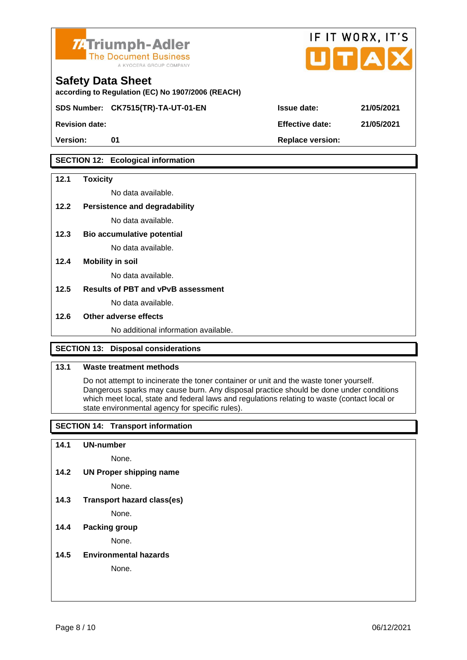



according to Regulation (EC) No 1907/2006 (REACH)

SDS Number: CK7515(TR)-TA-UT-01-EN Issue date: 21/05/2021

Revision date: 21/05/2021 2021 2021 2022 2021 2022 2021 2022 2022 2021 2022 2022 2022 2021 2022 2021 2022 2021

## SECTION 12: Ecological information

| 12.1 | Toxicity                             |
|------|--------------------------------------|
|      | No data available.                   |
| 12.2 | Persistence and degradability        |
|      | No data available.                   |
| 12.3 | Bio accumulative potential           |
|      | No data available.                   |
| 12.4 | Mobility in soil                     |
|      | No data available.                   |
| 12.5 | Results of PBT and vPvB assessment   |
|      | No data available.                   |
| 12.6 | Other adverse effects                |
|      | No additional information available. |
|      |                                      |

## SECTION 13: Disposal considerations

#### 13.1 Waste treatment methods

Do not attempt to incinerate the toner container or unit and the waste toner yourself. Dangerous sparks may cause burn. Any disposal practice should be done under conditions which meet local, state and federal laws and regulations relating to waste (contact local or state environmental agency for specific rules).

SECTION 14: Transport information

14.1 UN-number

None.

14.2 UN Proper shipping name

None.

14.3 Transport hazard class(es)

None.

#### 14.4 Packing group

None.

14.5 Environmental hazards

None.

| ssue date:      | 21/05/2021 |
|-----------------|------------|
| Effective date: | 21/05/2021 |

IF IT WORX, IT'S

Птіа

Version: 01 Replace version: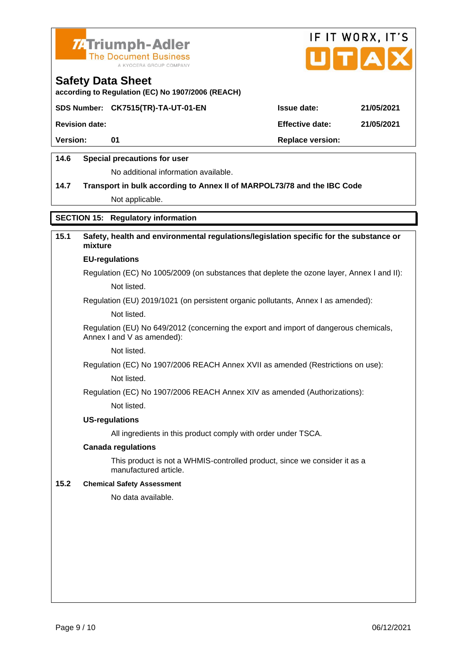



according to Regulation (EC) No 1907/2006 (REACH)

SDS Number: CK7515(TR)-TA-UT-01-EN Issue date: 21/05/2021

Revision date: 21/05/2021

Version: 01 Replace version:

## 14.6 Special precautions for user

No additional information available.

14.7 Transport in bulk according to Annex II of MARPOL73/78 and the IBC Code Not applicable.

### SECTION 15: Regulatory information

| 15.1 | Safety, health and environmental regulations/legislation specific for the substance or<br>mixture                   |
|------|---------------------------------------------------------------------------------------------------------------------|
|      | EU-regulations                                                                                                      |
|      | Regulation (EC) No 1005/2009 (on substances that deplete the ozone layer, Annex I and II):                          |
|      | Not listed.                                                                                                         |
|      | Regulation (EU) 2019/1021 (on persistent organic pollutants, Annex I as amended):                                   |
|      | Not listed.                                                                                                         |
|      | Regulation (EU) No 649/2012 (concerning the export and import of dangerous chemicals,<br>Annex I and V as amended): |
|      | Not listed.                                                                                                         |
|      | Regulation (EC) No 1907/2006 REACH Annex XVII as amended (Restrictions on use):                                     |
|      | Not listed.                                                                                                         |
|      | Regulation (EC) No 1907/2006 REACH Annex XIV as amended (Authorizations):                                           |
|      | Not listed.                                                                                                         |
|      | US-regulations                                                                                                      |
|      | All ingredients in this product comply with order under TSCA.                                                       |
|      | Canada regulations                                                                                                  |
|      | This product is not a WHMIS-controlled product, since we consider it as a<br>manufactured article.                  |
| 15.2 | <b>Chemical Safety Assessment</b>                                                                                   |
|      | No data available.                                                                                                  |
|      |                                                                                                                     |
|      |                                                                                                                     |
|      |                                                                                                                     |
|      |                                                                                                                     |
|      |                                                                                                                     |
|      |                                                                                                                     |